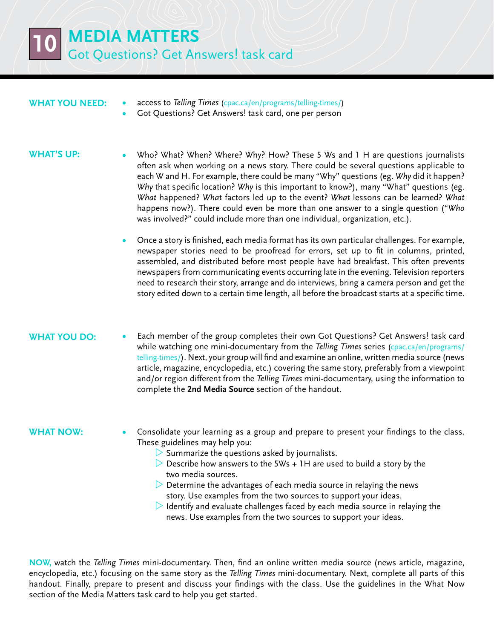**10 Media Matters** Got Questions? Get Answers! task card

## **What you need:**

- **•**  access to *Telling Times* [\(cpac.ca/en/programs/telling-times/](http://www.cpac.ca/en/programs/telling-times/))
- Got Questions? Get Answers! task card, one per person

#### **WHAT'S UP:**

- Who? What? When? Where? Why? How? These 5 Ws and 1 H are questions journalists often ask when working on a news story. There could be several questions applicable to each W and H. For example, there could be many "Why" questions (eg. *Why* did it happen? *Why* that specific location? *Why* is this important to know?), many "What" questions (eg. *What* happened? *What* factors led up to the event? *What* lessons can be learned? *What* happens now?). There could even be more than one answer to a single question ("*Who* was involved?" could include more than one individual, organization, etc.).
	- Once a story is finished, each media format has its own particular challenges. For example, newspaper stories need to be proofread for errors, set up to fit in columns, printed, assembled, and distributed before most people have had breakfast. This often prevents newspapers from communicating events occurring late in the evening. Television reporters need to research their story, arrange and do interviews, bring a camera person and get the story edited down to a certain time length, all before the broadcast starts at a specific time.

## **WHAT YOU DO:**

Each member of the group completes their own Got Questions? Get Answers! task card while watching one mini-documentary from the *Telling Times* series [\(cpac.ca/en/programs/](http://www.cpac.ca/en/programs/telling-times/) [telling-times/](http://www.cpac.ca/en/programs/telling-times/)). Next, your group will find and examine an online, written media source (news article, magazine, encyclopedia, etc.) covering the same story, preferably from a viewpoint and/or region different from the *Telling Times* mini-documentary, using the information to complete the **2nd Media Source** section of the handout.

#### **What now:**

- Consolidate your learning as a group and prepare to present your findings to the class. These guidelines may help you:
	- $\triangleright$  Summarize the questions asked by journalists.
	- $\triangleright$  Describe how answers to the 5Ws + 1H are used to build a story by the two media sources.
	- $\triangleright$  Determine the advantages of each media source in relaying the news story. Use examples from the two sources to support your ideas.
	- $\triangleright$  Identify and evaluate challenges faced by each media source in relaying the news. Use examples from the two sources to support your ideas.

**Now,** watch the *Telling Times* mini-documentary. Then, find an online written media source (news article, magazine, encyclopedia, etc.) focusing on the same story as the *Telling Times* mini-documentary. Next, complete all parts of this handout. Finally, prepare to present and discuss your findings with the class. Use the guidelines in the What Now section of the Media Matters task card to help you get started.